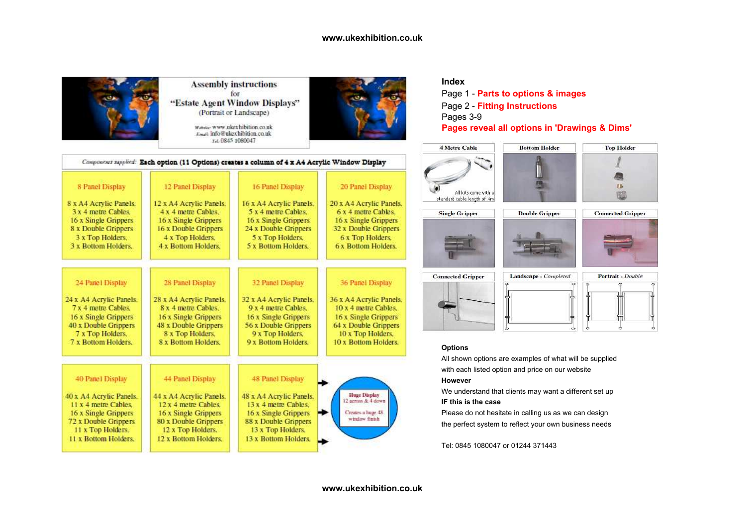

**Assembly instructions** for "Estate Agent Window Displays" (Portrait or Landscape)

> Website: www.ukexhibition.co.uk Fmat info@ukexhibition.co.uk Tel: 0845 1080047



## **Index**

 Page 1 - **Parts to options & images**Page 2 - **Fitting Instructions**Pages 3-9**Pages reveal all options in 'Drawings & Dims'**



Landscape - Completed







| <b>Connected Gripper</b> |  |
|--------------------------|--|
|                          |  |
|                          |  |

| r. |  |
|----|--|
|    |  |
|    |  |
|    |  |

### **Options**

 All shown options are examples of what will be suppliedwith each listed option and price on our website

## **However**

 We understand that clients may want a different set up**IF this is the case**

 Please do not hesitate in calling us as we can designthe perfect system to reflect your own business needs

Tel: 0845 1080047 or 01244 371443

|                                                                                                                                                                  |                                                                                                                                                                  | Components supplied: Each option (11 Options) creates a column of 4 x A4 Acrylic Window Display                                                                         |                                                                                 |
|------------------------------------------------------------------------------------------------------------------------------------------------------------------|------------------------------------------------------------------------------------------------------------------------------------------------------------------|-------------------------------------------------------------------------------------------------------------------------------------------------------------------------|---------------------------------------------------------------------------------|
| 8 Panel Display                                                                                                                                                  | 12 Panel Display                                                                                                                                                 | 16 Panel Display                                                                                                                                                        | 20 Panel Display                                                                |
| 8 x A4 Acrylic Panels.                                                                                                                                           | 12 x A4 Acrylic Panels.                                                                                                                                          | 16 x A4 Acrylic Panels.                                                                                                                                                 | 20 x A4 Acrylic Panel:                                                          |
| $3x 4$ metre Cables.                                                                                                                                             | 4 x 4 metre Cables.                                                                                                                                              | 5 x 4 metre Cables.                                                                                                                                                     | $6x4$ metre Cables.                                                             |
| 16 x Single Grippers                                                                                                                                             | 16 x Single Grippers                                                                                                                                             | 16 x Single Grippers                                                                                                                                                    | 16 x Single Grippers                                                            |
| 8 x Double Grippers                                                                                                                                              | 16 x Double Grippers                                                                                                                                             | 24 x Double Grippers                                                                                                                                                    | 32 x Double Grippers                                                            |
| 3 x Top Holders.                                                                                                                                                 | 4 x Top Holders.                                                                                                                                                 | 5 x Top Holders.                                                                                                                                                        | 6 x Top Holders.                                                                |
| 3 x Bottom Holders.                                                                                                                                              | 4 x Bottom Holders.                                                                                                                                              | 5 x Bottom Holders.                                                                                                                                                     | <b>6 x Bottom Holders.</b>                                                      |
| 24 Panel Display                                                                                                                                                 | 28 Panel Display                                                                                                                                                 | <b>32 Panel Display</b>                                                                                                                                                 | 36 Panel Display                                                                |
| 24 x A4 Acrylic Panels.                                                                                                                                          | 28 x A4 Acrylic Panels.                                                                                                                                          | 32 x A4 Acrylic Panels.                                                                                                                                                 | 36 x A4 Acrylic Panel:                                                          |
| 7 x 4 metre Cables.                                                                                                                                              | 8 x 4 metre Cables.                                                                                                                                              | 9 x 4 metre Cables.                                                                                                                                                     | 10 x 4 metre Cables.                                                            |
| 16 x Single Grippers                                                                                                                                             | 16 x Single Grippers                                                                                                                                             | 16 x Single Grippers                                                                                                                                                    | 16 x Single Grippers                                                            |
| 40 x Double Grippers                                                                                                                                             | 48 x Double Grippers                                                                                                                                             | 56 x Double Grippers                                                                                                                                                    | 64 x Double Grippers                                                            |
| 7 x Top Holders.                                                                                                                                                 | 8 x Top Holders.                                                                                                                                                 | 9 x Top Holders.                                                                                                                                                        | 10 x Top Holders.                                                               |
| 7 x Bottom Holders.                                                                                                                                              | 8 x Bottom Holders.                                                                                                                                              | 9 x Bottom Holders.                                                                                                                                                     | 10 x Bottom Holders.                                                            |
| 40 Panel Display<br>40 x A4 Acrylic Panels.<br>11 x 4 metre Cables.<br>16 x Single Grippers<br>72 x Double Grippers<br>11 x Top Holders.<br>11 x Bottom Holders. | 44 Panel Display<br>44 x A4 Acrylic Panels.<br>12 x 4 metre Cables.<br>16 x Single Grippers<br>80 x Double Grippers<br>12 x Top Holders.<br>12 x Bottom Holders. | <b>48 Panel Display</b><br>48 x A4 Acrylic Panels.<br>13 x 4 metre Cables.<br>16 x Single Grippers<br>88 x Double Grippers<br>13 x Top Holders.<br>13 x Bottom Holders. | <b>Huge Display</b><br>12 across & 4 down<br>Creates a huge 48<br>window finish |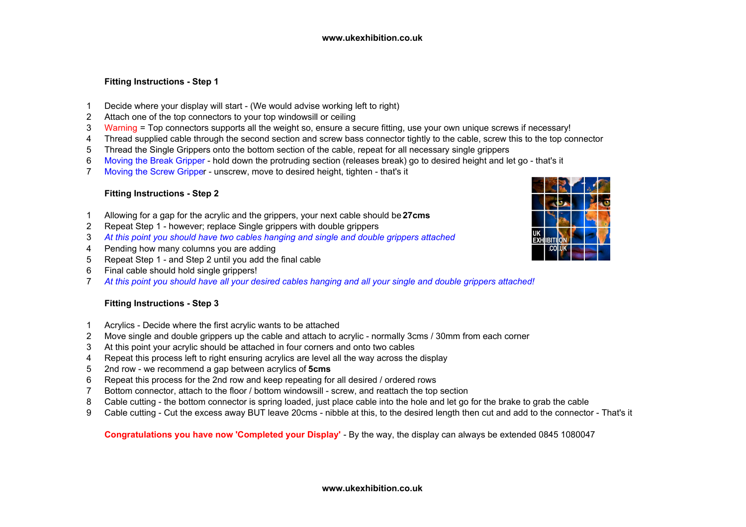# **Fitting Instructions - Step 1**

- <sup>1</sup> Decide where your display will start (We would advise working left to right)
- <sup>2</sup> Attach one of the top connectors to your top windowsill or ceiling
- 3Warning = Top connectors supports all the weight so, ensure a secure fitting, use your own unique screws if necessary!<br>4 Thread supplied cable through the second section and screw bass connector tightly to the cable, screw
- 4 Thread supplied cable through the second section and screw bass connector tightly to the cable, screw this to the top connector 5 Thread the Single Grippers onto the bottom section of the cable, repeat for all necessary
- <sup>5</sup> Thread the Single Grippers onto the bottom section of the cable, repeat for all necessary single grippers
- 6Moving the Break Gripper - hold down the protruding section (releases break) go to desired height and let go - that's it
- 7Moving the Screw Gripper - unscrew, move to desired height, tighten - that's it

## **Fitting Instructions - Step 2**

- 1Allowing for a gap for the acrylic and the grippers, your next cable should be **27cms**
- <sup>2</sup> Repeat Step 1 however; replace Single grippers with double grippers
- 3 *At this point you should have two cables hanging and single and double grippers attached*
- 4 Pending how many columns you are adding<br>5 Repeat Step 1 and Step 2 until you add the
- 5 Repeat Step 1 and Step 2 until you add the final cable<br>6 Final cable should hold single grippers!
- Final cable should hold single grippers!
- 7*At this point you should have all your desired cables hanging and all your single and double grippers attached!*

## **Fitting Instructions - Step 3**

- 1 Acrylics Decide where the first acrylic wants to be attached<br>2 Move single and double grippers up the cable and attach to a
- 2 Move single and double grippers up the cable and attach to acrylic normally 3cms / 30mm from each corner<br>3 At this point your acrylic should be attached in four corners and onto two cables
- 3 At this point your acrylic should be attached in four corners and onto two cables<br>4 Repeat this process left to right ensuring acrylics are level all the way across the
- Repeat this process left to right ensuring acrylics are level all the way across the display
- 52nd row - we recommend a gap between acrylics of **5cms**
- 6 Repeat this process for the 2nd row and keep repeating for all desired / ordered rows<br>7 Rottom connector, attach to the floor / bottom windowsill screw, and reattach the top
- 7 Bottom connector, attach to the floor / bottom windowsill screw, and reattach the top section<br>8 Cable cutting the bottom connector is spring loaded, just place cable into the hole and let go
- 8 Cable cutting the bottom connector is spring loaded, just place cable into the hole and let go for the brake to grab the cable<br>8 Cable cutting Cut the excess away BUT leave 20cms nibble at this to the desired lengt
- <sup>9</sup> Cable cutting Cut the excess away BUT leave 20cms nibble at this, to the desired length then cut and add to the connector That's it

**Congratulations you have now 'Completed your Display'** - By the way, the display can always be extended 0845 1080047

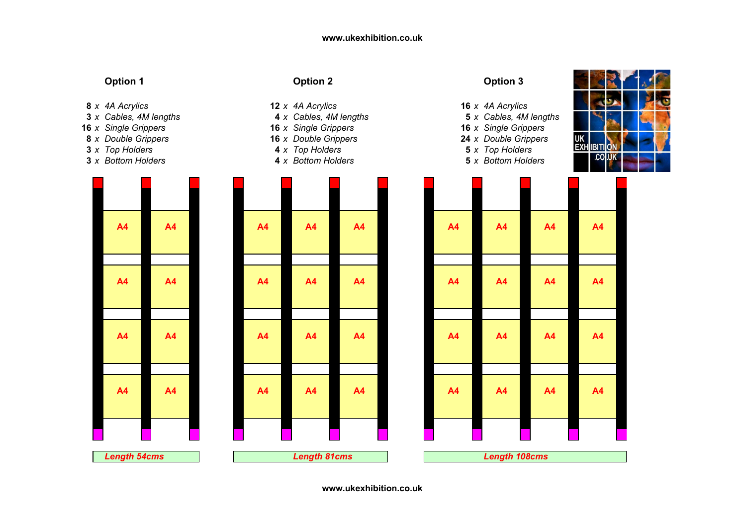- 8 x 4A Acrylics
- 3 x Cables, 4M lengths
- **16** x Single Grippers
- **8** x Double Grippers
- **3** x Top Holders
- **3** x Bottom Holders



# **Option 1 Option 2 Option 3**

- *<sup>x</sup> 4A Acrylics* **<sup>12</sup>** *<sup>x</sup> 4A Acrylics* **<sup>16</sup>** *<sup>x</sup> 4A Acrylics*
	-
	- *<sup>x</sup> Double Grippers* **<sup>16</sup>** *<sup>x</sup> Double Grippers* **<sup>24</sup>** *<sup>x</sup> Double Grippers*
- *<sup>x</sup> Top Holders* **<sup>4</sup>** *<sup>x</sup> Top Holders* **<sup>5</sup>** *<sup>x</sup> Top Holders*
- *<sup>x</sup> Bottom Holders* **<sup>4</sup>** *<sup>x</sup> Bottom Holders* **<sup>5</sup>** *<sup>x</sup> Bottom Holders*

| <b>A4</b> | <b>A4</b>      | A4                  | <b>A4</b>      | <b>A4</b> | A4                   | $\overline{p}$          |
|-----------|----------------|---------------------|----------------|-----------|----------------------|-------------------------|
|           |                |                     |                |           |                      |                         |
| A4        | <b>A4</b>      | A <sub>4</sub>      | <b>A4</b>      | <b>A4</b> | A <sub>4</sub>       | $\overline{ }$          |
|           |                |                     |                |           |                      |                         |
| <b>A4</b> | A4             | A4                  | <b>A4</b>      | <b>A4</b> | <b>A4</b>            | $\overline{ }$          |
|           |                |                     |                |           |                      |                         |
| <b>A4</b> | A <sub>4</sub> | A4                  | A <sub>4</sub> | <b>A4</b> | <b>A4</b>            | $\overline{\mathbf{r}}$ |
|           |                |                     |                |           |                      |                         |
| S         |                | <b>Length 81cms</b> |                |           | <b>Length 108cms</b> |                         |
|           |                |                     |                |           |                      |                         |

- 
- *<sup>x</sup> Cables, 4M lengths* **<sup>4</sup>** *<sup>x</sup> Cables, 4M lengths* **<sup>5</sup>** *<sup>x</sup> Cables, 4M lengths*
- *<sup>x</sup> Single Grippers* **<sup>16</sup>** *<sup>x</sup> Single Grippers* **<sup>16</sup>** *<sup>x</sup> Single Grippers*
	-
	-
	-



| th 54cms |           |                | <b>Length 81cms</b> |           |           | <b>Length 108cms</b> |           |           |
|----------|-----------|----------------|---------------------|-----------|-----------|----------------------|-----------|-----------|
|          |           |                |                     |           |           |                      |           |           |
| 4        | <b>A4</b> | A4             | A4                  | <b>A4</b> | A4        | A4                   | A4        | <b>A4</b> |
|          |           |                |                     |           |           |                      |           |           |
| 4        | <b>A4</b> | A4             | <b>A4</b>           | <b>A4</b> | <b>A4</b> | <b>A4</b>            | A4        | A4        |
|          |           |                |                     |           |           |                      |           |           |
| 4        | <b>A4</b> | A <sub>4</sub> | <b>A4</b>           | <b>A4</b> | A4        | A4                   | A4        | A4        |
|          |           |                |                     |           |           |                      |           |           |
| 4        | <b>A4</b> | A <sub>4</sub> | A4                  | <b>A4</b> | <b>A4</b> | <b>A4</b>            | <b>A4</b> | <b>A4</b> |
|          |           |                |                     |           |           |                      |           |           |
|          |           |                |                     |           |           |                      |           |           |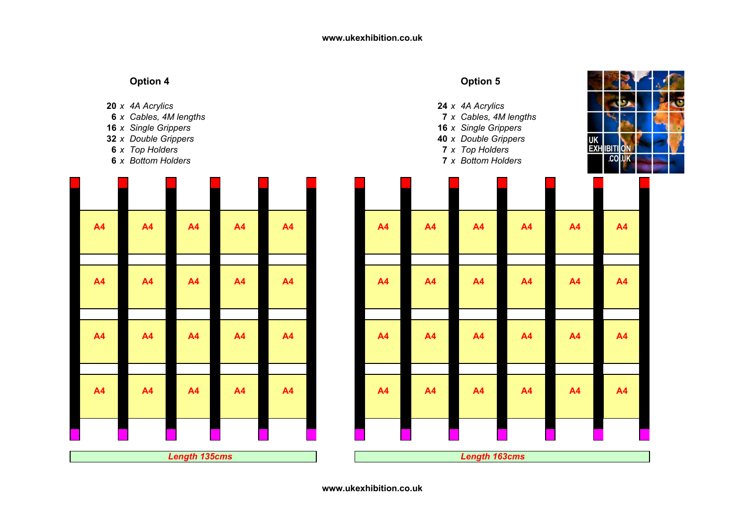# **Option 4A** Option 5 20 x 4A Acrylics *<sup>x</sup> 4A Acrylics* **<sup>24</sup>** *<sup>x</sup> 4A Acrylics* **6** x Cables, 4M lengths *<sup>x</sup> Cables, 4M lengths* **<sup>7</sup>** *<sup>x</sup> Cables, 4M lengths* **16** x Single Grippers *<sup>x</sup> Single Grippers* **<sup>16</sup>** *<sup>x</sup> Single Grippers* **32** x Double Grippers *<sup>x</sup> Double Grippers* **<sup>40</sup>** *<sup>x</sup> Double Grippers* UK<br>EXI **6** x Top Holders *<sup>x</sup> Top Holders* **<sup>7</sup>** *<sup>x</sup> Top Holders* IBITI  $\overline{0}$ **6** x Bottom Holders *<sup>x</sup> Bottom Holders* **<sup>7</sup>** *<sup>x</sup> Bottom Holders* .col.uk **A4 A4 A4 A4 A4 A4 A4 A4 A4 A4 A4 A4 A4 A4 A4 A4 A4 A4 A4 A4 A4 A4 A4 A4 A4 A4 A4 A4 A4 A4 A4 A4 A4 A4 A4 A4 A4 A4 A4 A4 A4 A4 A4 A4** *Length 163cms Length 135cms*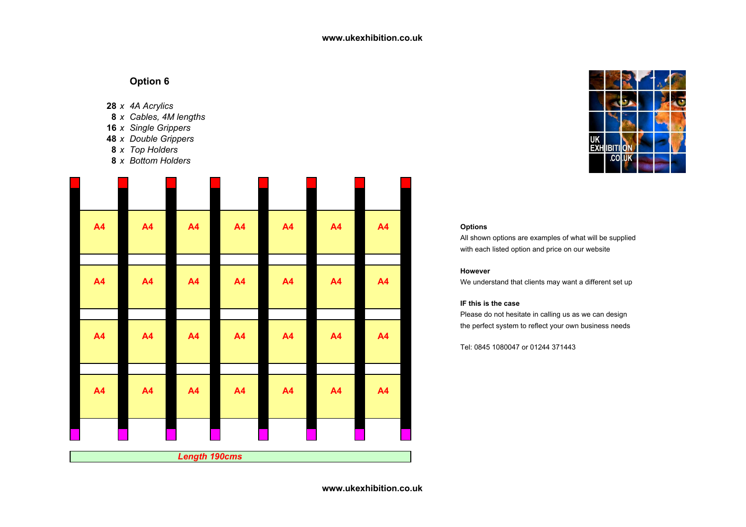- **28** *<sup>x</sup> 4A Acrylics*
- **8** *<sup>x</sup> Cables, 4M lengths*
- **16** *<sup>x</sup> Single Grippers*
- **48** *<sup>x</sup> Double Grippers*
- **8** *<sup>x</sup> Top Holders*
- **8** *<sup>x</sup> Bottom Holders*

| A4        | <b>A4</b> | <b>A4</b>            | <b>A4</b> | <b>A4</b> | <b>A4</b> | <b>A4</b> |
|-----------|-----------|----------------------|-----------|-----------|-----------|-----------|
|           |           |                      |           |           |           |           |
|           |           |                      |           |           |           |           |
| <b>A4</b> | <b>A4</b> | <b>A4</b>            | <b>A4</b> | <b>A4</b> | <b>A4</b> | <b>A4</b> |
|           |           |                      |           |           |           |           |
|           |           |                      |           |           |           |           |
| A4        | A4        | <b>A4</b>            | <b>A4</b> | <b>A4</b> | <b>A4</b> | A4        |
|           |           |                      |           |           |           |           |
|           |           |                      |           |           |           |           |
|           |           |                      |           |           |           |           |
| <b>A4</b> | <b>A4</b> | <b>A4</b>            | <b>A4</b> | A4        | <b>A4</b> | <b>A4</b> |
|           |           |                      |           |           |           |           |
|           |           |                      |           |           |           |           |
|           |           |                      |           |           |           |           |
|           |           | <b>Length 190cms</b> |           |           |           |           |



## **However**

## **IF this is the case**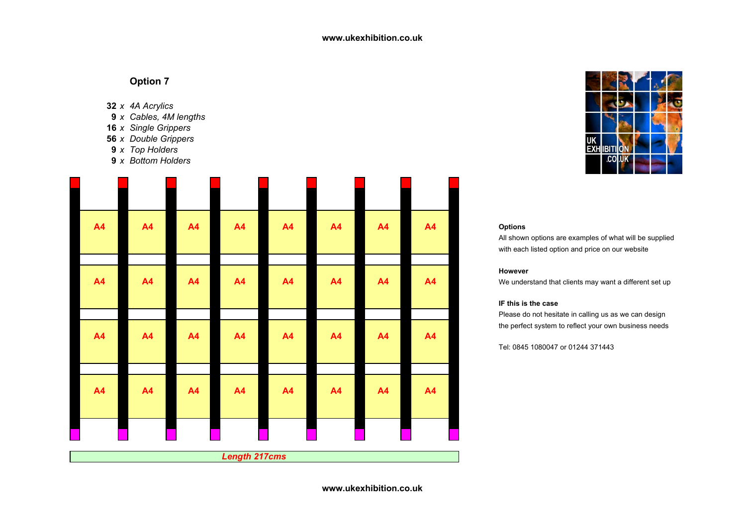- **32** *<sup>x</sup> 4A Acrylics*
- **9** *<sup>x</sup> Cables, 4M lengths*
- **16** *<sup>x</sup> Single Grippers*
- **56** *<sup>x</sup> Double Grippers*
- **9** *<sup>x</sup> Top Holders*
- **9** *<sup>x</sup> Bottom Holders*

| <b>A4</b> | A4        | <b>A4</b> | A4                   | <b>A4</b> | <b>A4</b> | <b>A4</b> | <b>A4</b> | <b>Options</b><br>All shown options are examples of what will be supplie |
|-----------|-----------|-----------|----------------------|-----------|-----------|-----------|-----------|--------------------------------------------------------------------------|
|           |           |           |                      |           |           |           |           | with each listed option and price on our website                         |
|           |           |           |                      |           |           |           |           | However                                                                  |
| <b>A4</b> | <b>A4</b> | <b>A4</b> | <b>A4</b>            | <b>A4</b> | <b>A4</b> | <b>A4</b> | <b>A4</b> | We understand that clients may want a different set up                   |
|           |           |           |                      |           |           |           |           | IF this is the case                                                      |
|           |           |           |                      |           |           |           |           | Please do not hesitate in calling us as we can design                    |
|           |           |           |                      |           |           |           |           | the perfect system to reflect your own business needs                    |
| <b>A4</b> | <b>A4</b> | <b>A4</b> | <b>A4</b>            | A4        | <b>A4</b> | <b>A4</b> | <b>A4</b> | Tel: 0845 1080047 or 01244 371443                                        |
|           |           |           |                      |           |           |           |           |                                                                          |
|           |           |           |                      |           |           |           |           |                                                                          |
| <b>A4</b> | <b>A4</b> | <b>A4</b> | <b>A4</b>            | A4        | <b>A4</b> | <b>A4</b> | <b>A4</b> |                                                                          |
|           |           |           |                      |           |           |           |           |                                                                          |
|           |           |           |                      |           |           |           |           |                                                                          |
|           |           |           |                      |           |           |           |           |                                                                          |
|           |           |           | <b>Length 217cms</b> |           |           |           |           |                                                                          |



## **However**

### **IF this is the case**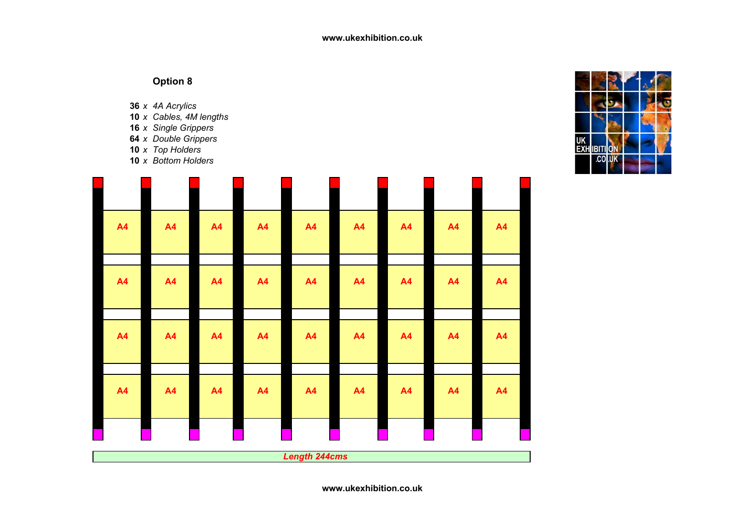**36** *<sup>x</sup> 4A Acrylics*

- **10** *<sup>x</sup> Cables, 4M lengths*
- **16** *<sup>x</sup> Single Grippers*
- **64** *<sup>x</sup> Double Grippers*
- **10** *<sup>x</sup> Top Holders*

**10** *<sup>x</sup> Bottom Holders*

| A <sub>4</sub> | A <sub>4</sub> | A4 | A4        | A4                   | A <sub>4</sub> | A <sub>4</sub> | A4 | A <sub>4</sub> |
|----------------|----------------|----|-----------|----------------------|----------------|----------------|----|----------------|
|                |                |    |           |                      |                |                |    |                |
| A <sub>4</sub> | <b>A4</b>      | A4 | A4        | A <sub>4</sub>       | A4             | A <sub>4</sub> | A4 | A4             |
|                |                |    |           |                      |                |                |    |                |
| <b>A4</b>      | A <sub>4</sub> | A4 | A4        | A4                   | A4             | <b>A4</b>      | A4 | A4             |
|                |                |    |           |                      |                |                |    |                |
| <b>A4</b>      | <b>A4</b>      | A4 | <b>A4</b> | A4                   | A4             | A4             | A4 | A4             |
|                |                |    |           |                      |                |                |    |                |
|                |                |    |           |                      |                |                |    |                |
|                |                |    |           |                      |                |                |    |                |
| Г              |                |    |           | <b>Length 244cms</b> |                |                |    |                |

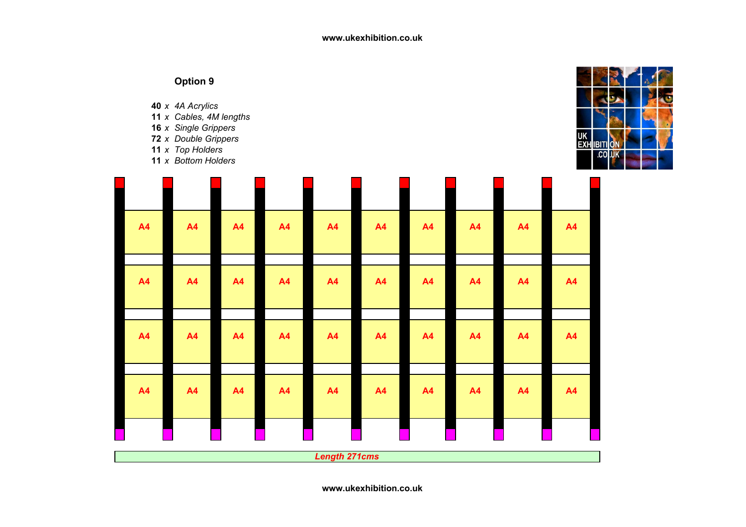**40** *<sup>x</sup> 4A Acrylics*

- **11** *<sup>x</sup> Cables, 4M lengths*
- **16** *<sup>x</sup> Single Grippers*
- **72** *<sup>x</sup> Double Grippers*
- **11** *<sup>x</sup> Top Holders*

**11** *<sup>x</sup> Bottom Holders*

| UK<br>EXH IBITI ON |  |  |  |
|--------------------|--|--|--|
|                    |  |  |  |

| A <sub>4</sub> | A4        | <b>A4</b> | A4        | A4                   | <b>A4</b> | A4        | A4        | <b>A4</b> | A4        |
|----------------|-----------|-----------|-----------|----------------------|-----------|-----------|-----------|-----------|-----------|
|                |           |           |           |                      |           |           |           |           |           |
| A4             | <b>A4</b> | <b>A4</b> | <b>A4</b> | A4                   | <b>A4</b> | <b>A4</b> | <b>A4</b> | <b>A4</b> | <b>A4</b> |
|                |           |           |           |                      |           |           |           |           |           |
| A <sub>4</sub> | <b>A4</b> | <b>A4</b> | A4        | A4                   | A4        | A4        | A4        | <b>A4</b> | A4        |
|                |           |           |           |                      |           |           |           |           |           |
| A <sub>4</sub> | A4        | A4        | A4        | A4                   | <b>A4</b> | A4        | A4        | A4        | A4        |
|                |           |           |           |                      |           |           |           |           |           |
|                |           |           |           |                      |           |           |           |           |           |
|                |           |           |           | <b>Length 271cms</b> |           |           |           |           |           |